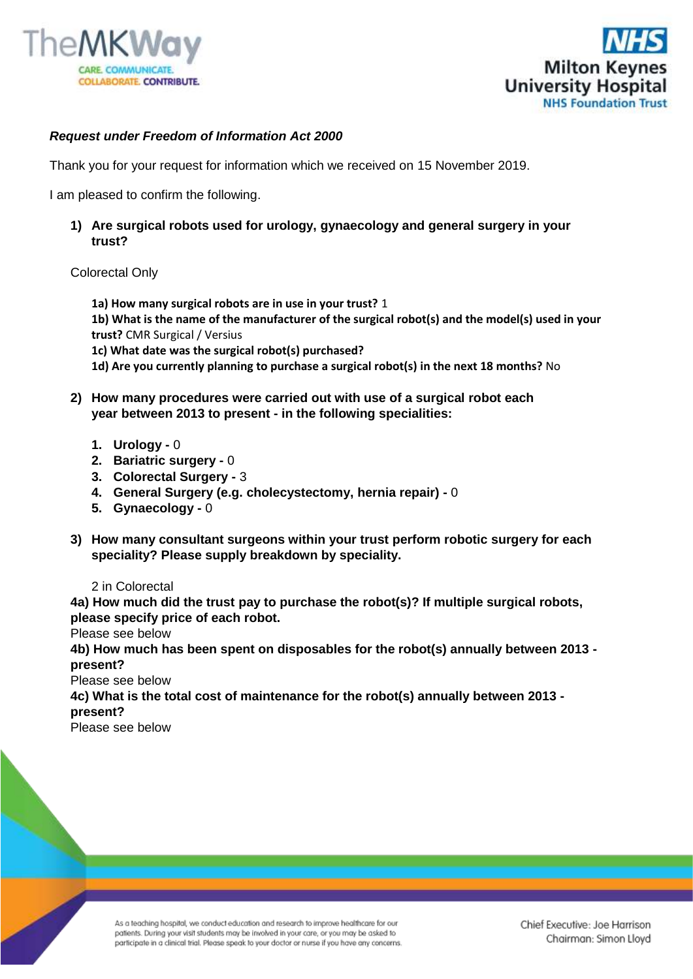



## *Request under Freedom of Information Act 2000*

Thank you for your request for information which we received on 15 November 2019.

I am pleased to confirm the following.

**1) Are surgical robots used for urology, gynaecology and general surgery in your trust?** 

## Colorectal Only

 **1a) How many surgical robots are in use in your trust?** 1

**1b) What is the name of the manufacturer of the surgical robot(s) and the model(s) used in your trust?** CMR Surgical / Versius

 **1c) What date was the surgical robot(s) purchased?** 

- **1d) Are you currently planning to purchase a surgical robot(s) in the next 18 months?** No
- **2) How many procedures were carried out with use of a surgical robot each year between 2013 to present - in the following specialities:**
	- **1. Urology -** 0
	- **2. Bariatric surgery -** 0
	- **3. Colorectal Surgery -** 3
	- **4. General Surgery (e.g. cholecystectomy, hernia repair) -** 0
	- **5. Gynaecology -** 0
- **3) How many consultant surgeons within your trust perform robotic surgery for each speciality? Please supply breakdown by speciality.**

## 2 in Colorectal

**4a) How much did the trust pay to purchase the robot(s)? If multiple surgical robots, please specify price of each robot.**

Please see below

**4b) How much has been spent on disposables for the robot(s) annually between 2013 present?**

Please see below

**4c) What is the total cost of maintenance for the robot(s) annually between 2013 present?**

Please see below

As a teaching hospital, we conduct education and research to improve healthcare for our patients. During your visit students may be involved in your care, or you may be asked to participate in a clinical trial. Please speak to your doctor or nurse if you have any concerns.